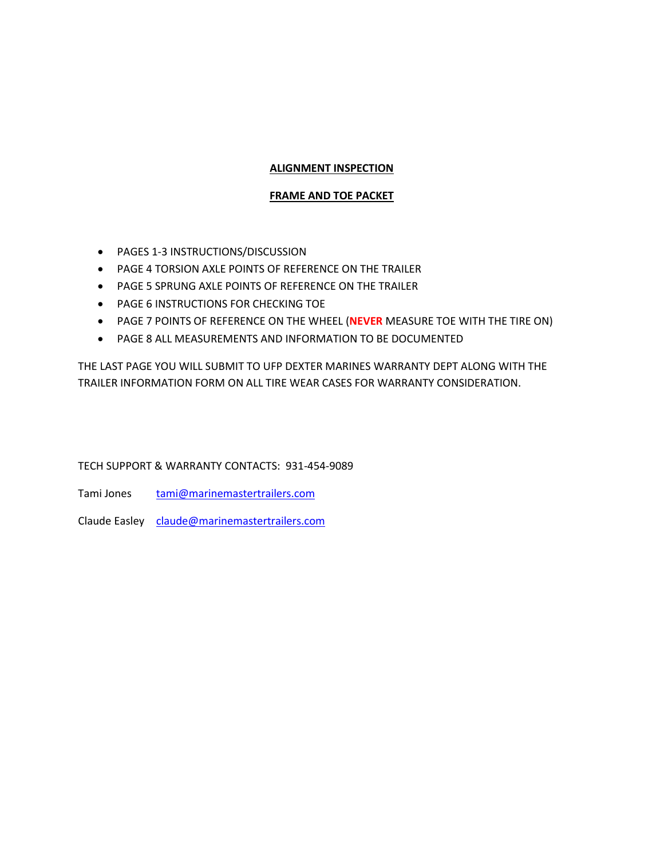# **ALIGNMENT INSPECTION**

# **FRAME AND TOE PACKET**

- PAGES 1-3 INSTRUCTIONS/DISCUSSION
- PAGE 4 TORSION AXLE POINTS OF REFERENCE ON THE TRAILER
- PAGE 5 SPRUNG AXLE POINTS OF REFERENCE ON THE TRAILER
- **PAGE 6 INSTRUCTIONS FOR CHECKING TOE**
- PAGE 7 POINTS OF REFERENCE ON THE WHEEL (**NEVER** MEASURE TOE WITH THE TIRE ON)
- PAGE 8 ALL MEASUREMENTS AND INFORMATION TO BE DOCUMENTED

THE LAST PAGE YOU WILL SUBMIT TO UFP DEXTER MARINES WARRANTY DEPT ALONG WITH THE TRAILER INFORMATION FORM ON ALL TIRE WEAR CASES FOR WARRANTY CONSIDERATION.

# TECH SUPPORT & WARRANTY CONTACTS: 931-454-9089

Tami Jones tami@marinemastertrailers.com

Claude Easley claude@marinemastertrailers.com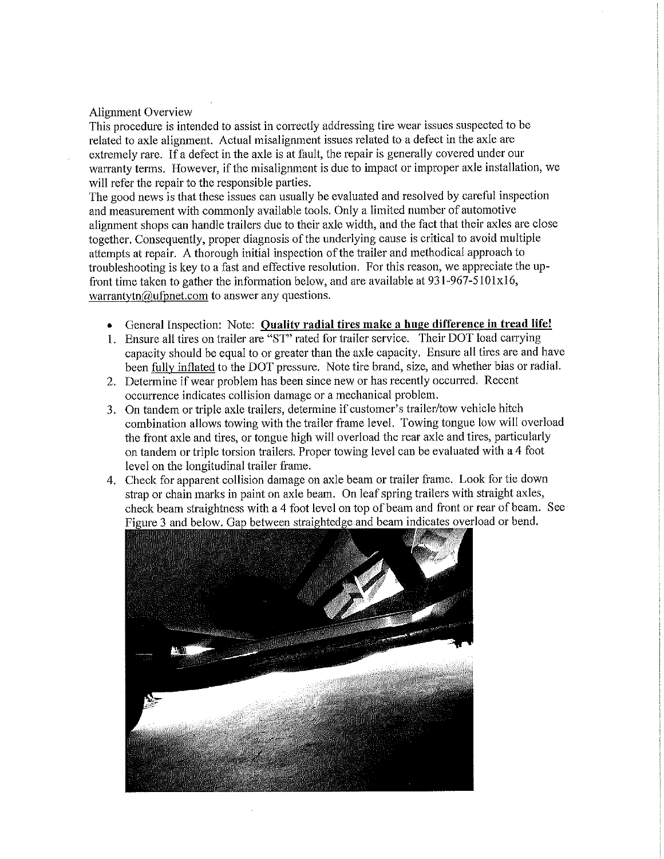## Alignment Overview

This procedure is intended to assist in correctly addressing tire wear issues suspected to be related to axle alignment. Actual misalignment issues related to a defect in the axle are extremely rare. if a defect in the axle is at fault, the repair is generally covered under our warranty terms. However, if the misalignment is due to impact or improper axle installation, we will refer the repair to the responsible parties.

The good news is that these issues can usually be evaluated and resolved by careful inspection and measurement with commonly available tools. Only a limited number of automotive alignment shops can handle trailers due to their axle width, and the fact that their axles are close together. Consequently, proper diagnosis of the underlying cause is critical to avoid multiple attempts at repair. A thorough initial inspection of the trailer and methodical approach to troubleshooting is key to a fast and effective resolution. For this reason, we appreciate the upfront time taken to gather the information below, and are available at 931—967-5101x16, warrantytn $@$ ufpnet.com to answer any questions.

- General Inspection: Note: Quality radial tires make a huge difference in tread life!
- 1. Ensure all tires on trailer are "ST" rated for trailer service. Their DOT load carrying capacity should be equal to or greater than the axle capacity. Ensure all tires are and have been fully inflated to the DOT pressure. Note tire brand, size, and whether bias or radial.
- 2. Determine if wear problem has been since new or has recently occurred. Recent occurrence indicates collision damage or a mechanical problem.
- 3. On tandem or triple axle trailers, determine if customer's trailer/tow vehicle hitch combination allows towing with the trailer frame level. Towing tongue low will overload the front axle and tires, or tongue high will overload the rear axle and tires, particularly on tandem or triple torsion trailers. Proper towing level can be evaluated with a 4 foot level on the longitudinal trailer frame.
- 4. Check for apparent collision damage on axle beam or trailer frame. Look for tie down strap or chain marks in paint on axle beam. On leaf spring trailers with straight axles, check beam straightness with a 4 foot level on top of beam and front or rear of beam. See Figure 3 and below. Gap between straightedge and beam indicates overload or bend.

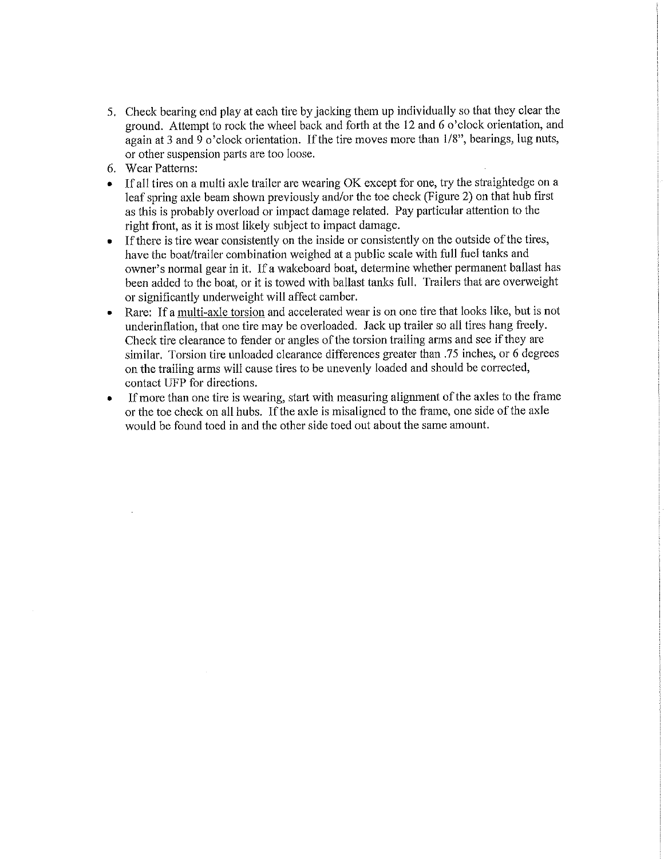- . Check bearing end play at each tire by jacking them up individually so that they clear the ground. Attempt to rock the wheel back and forth at the <sup>12</sup> and <sup>6</sup> o'clock orientation, and again at 3 and 9 o'clock orientation. If the tire moves more than  $1/8$ ", bearings, lug nuts, or other suspension parts are too loose.
- 6. Wear Patterns:
- If all tires on a multi axle trailer are wearing OK except for one, try the straightedge on a leaf spring axle beam shown previously and/or the toe check (Figure 2) on that hub first as this is probably overload or impact damage related. Pay particular attention to the right front, as it is most likely subject to impact damage.
- If there is tire wear consistently on the inside or consistently on the outside of the tires, have the boat/trailer combination weighed at a public scale with full fuel tanks and owner's normal gear in it. If a wakeboard boat, determine whether permanent ballast has been added to the boat, or it is towed with ballast tanks full. Trailers that are overweight or significantly underweight will affect camber.
- Rare: If a multi-axle torsion and accelerated wear is on one the that looks like, but is not underinflation, that one tire may be overloaded. Jack up trailer so all tires hang freely. Check tire clearance to fender or angles of the torsion trailing arms and see if they are similar. Torsion tire unloaded clearance differences greater than .75 inches, or <sup>6</sup> degrees on the trailing arms will cause tires to be unevenly loaded and should be corrected, contact UFP for directions.
- If more than one tire is wearing, start with measuring alignment of the axles to the frame or the toe check on all hubs. Ifthe axle is misaligned to the frame, one side ofthe axle would be found toed in and the other side toed out about the same amount.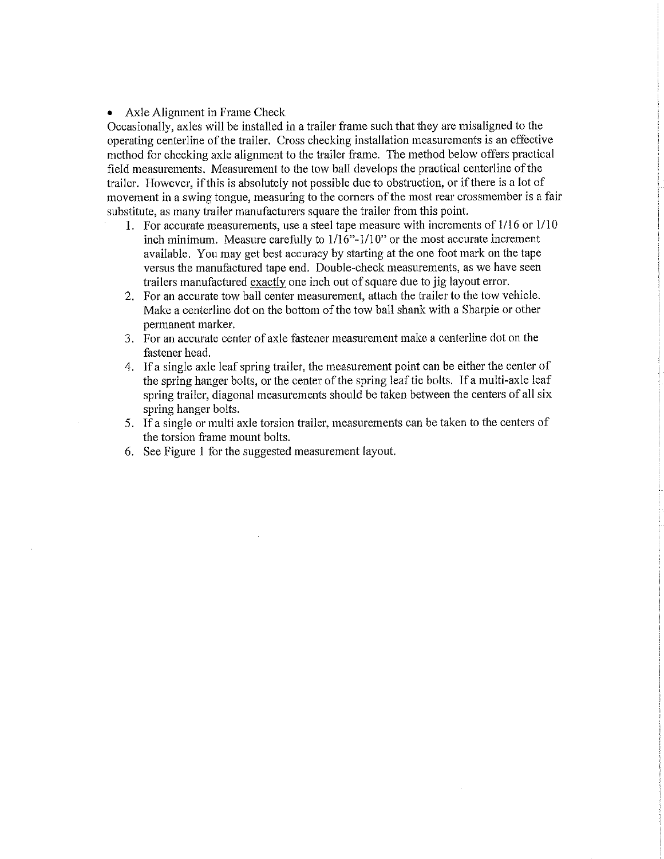## • Axle Alignment in Frame Check

Occasionally, axles will be installed in a trailer frame such that they are misaligned to the operating centerline of the trailer. Cross checking installation measurements is an effective method for checking axle alignment to the trailer frame. The method below offers practical field measurements. Measurement to the tow ball develops the practical centerline ofthe trailer. However, ifthis is absolutely not possible due to obstruction, or ifthere is a lot of movement in a swing tongue, measuring to the corners of the most rear crossmember is a fair substitute, as many trailer manufacturers square the trailer from this point.

- 1. For accurate measurements, use a steel tape measure with increments of 1/16 or 1/10 inch minimum. Measure carefully to  $1/16$ "-1/10" or the most accurate increment available. You may get best accuracy by starting at the one foot mark on the tape versus the manufactured tape end. Double-check measurements, as we have seen trailers manufactured exactly one inch out of square due to jig iayout error.
- For an accurate tow ball center measurement, attach the trailer to the tow vehicle. Make a centerline dot on the bottom of the tow ball shank with a Sharpie or other permanent marker.
- For an accurate center of axle fastener measurement make a centerline dot on the fastener head.
- If a single axle leaf spring trailer, the measurement point can be either the center of the spring hanger bolts, or the center of the spring leaf tie bolts. If a multi-axle leaf spring trailer, diagonal measurements should be taken between the centers of all six spring hanger bolts.
- If <sup>a</sup> single or multi axle torsion trailer, measurements can be taken to the centers of the torsion frame mount bolts.
- See Figure l for the suggested measurement layout.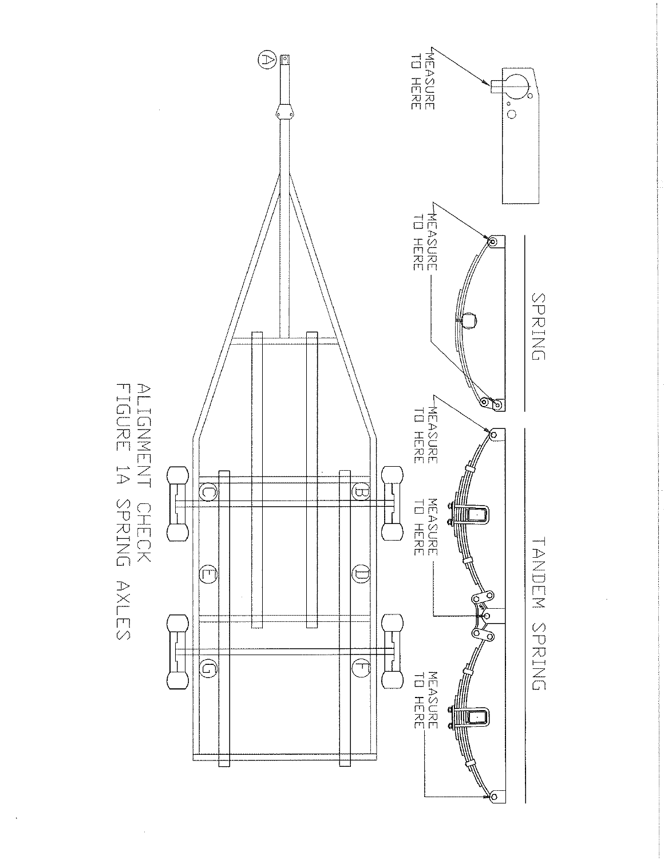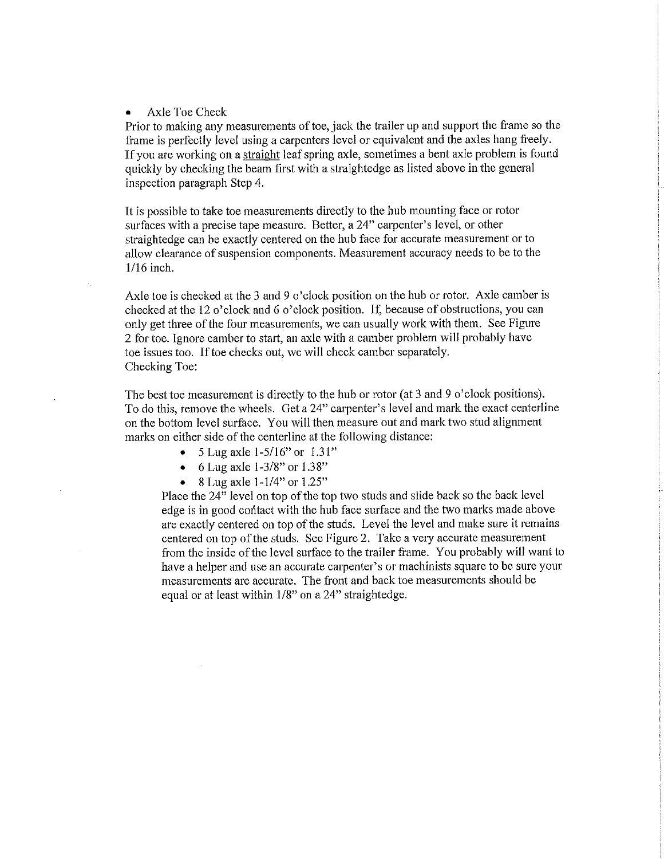#### - Axle Toe Check

Prior to making any measurements of toe, jack the trailer up and support the frame so the frame is perfectly level using a carpenters level or equivalent and the axles hang freely. If you are working on a straight leaf spring axle, sometimes a bent axle problem is found quickly by checking the beam first with a straightedge as listed above in the general inspection paragraph Step 4.

It is possible to take toe measurements directly to the hub mounting face or rotor surfaces with a precise tape measure. Better, a 24" carpenter's level, or other straightedge can be exactly centered on the hub face for accurate measurement or to allow clearance of suspension components. Measurement accuracy needs to be to the  $1/16$  inch.

Axle toe is checked at the 3 and 9 o'clock position on the hub or rotor. Axle camber is checked at the <sup>12</sup> o'clock and <sup>6</sup> o'clock position. If, because of obstructions, you can only get three ofthe four measurements, we can usually work with them. See Figure 2 for toe. Ignore camber to start, an axle with a camber problem will probably have toe issues too. If toe checks out, we will check camber separately. Checking Toe:

The best toe measurement is directly to the hub or rotor (at <sup>3</sup> and <sup>9</sup> o'clock positions). To do this, remove the wheels. Get <sup>a</sup> 24" carpenter's level and mark the exact centerline on the bottom level surface. You will then measure out and mark two stud alignment marks on either side of the centerline at the following distance:

- 5 Lug axle  $1-5/16$ " or  $1.31$ "
- 6 Lug axle  $1-3/8$ " or  $1.38$ "
- 8 Lug axle  $1-1/4$ " or  $1.25$ "

Place the 24" level on top of the top two studs and slide back so the back level edge is in good contact with the hub face surface and the two marks made above are exactly centered on top of the studs. Level the level and make sure it remains centered on top of the studs. See Figure 2. Take a very accurate measurement from the inside of the level surface to the trailer frame. You probably will want to have a helper and use an accurate carpenter's or machinists square to be sure your measurements are accurate. The front and back toe measurements should be equal or at least within 1/8" on a 24" straightedge.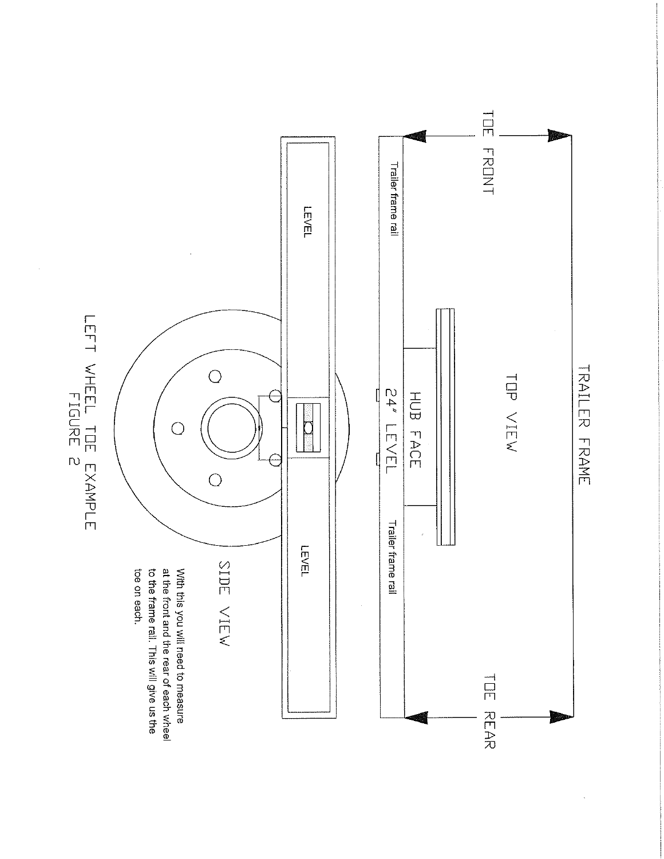